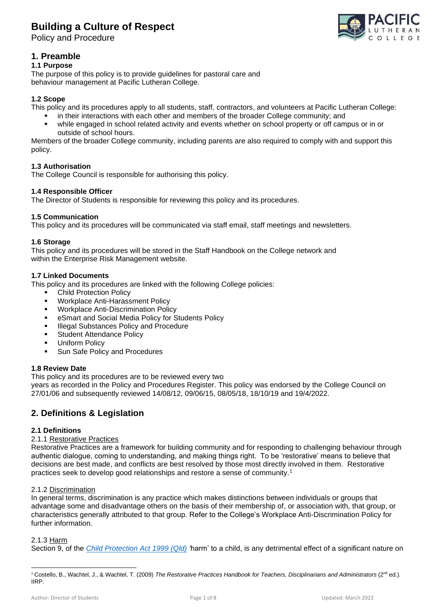Policy and Procedure



## **1. Preamble**

### **1.1 Purpose**

The purpose of this policy is to provide guidelines for pastoral care and behaviour management at Pacific Lutheran College.

### **1.2 Scope**

This policy and its procedures apply to all students, staff, contractors, and volunteers at Pacific Lutheran College:

- in their interactions with each other and members of the broader College community; and<br>• while engaged in school related activity and events whether on school property or off came
- while engaged in school related activity and events whether on school property or off campus or in or outside of school hours.

Members of the broader College community, including parents are also required to comply with and support this policy.

### **1.3 Authorisation**

The College Council is responsible for authorising this policy.

### **1.4 Responsible Officer**

The Director of Students is responsible for reviewing this policy and its procedures.

#### **1.5 Communication**

This policy and its procedures will be communicated via staff email, staff meetings and newsletters.

#### **1.6 Storage**

This policy and its procedures will be stored in the Staff Handbook on the College network and within the Enterprise Risk Management website.

#### **1.7 Linked Documents**

This policy and its procedures are linked with the following College policies:

- Child Protection Policy
- Workplace Anti-Harassment Policy
- Workplace Anti-Discrimination Policy
- eSmart and Social Media Policy for Students Policy
- **Illegal Substances Policy and Procedure**
- **Student Attendance Policy**
- **Uniform Policy**
- Sun Safe Policy and Procedures

### **1.8 Review Date**

This policy and its procedures are to be reviewed every two

years as recorded in the Policy and Procedures Register. This policy was endorsed by the College Council on 27/01/06 and subsequently reviewed 14/08/12, 09/06/15, 08/05/18, 18/10/19 and 19/4/2022.

## **2. Definitions & Legislation**

### **2.1 Definitions**

#### 2.1.1 Restorative Practices

Restorative Practices are a framework for building community and for responding to challenging behaviour through authentic dialogue, coming to understanding, and making things right. To be 'restorative' means to believe that decisions are best made, and conflicts are best resolved by those most directly involved in them. Restorative practices seek to develop good relationships and restore a sense of community.<sup>1</sup>

#### 2.1.2 Discrimination

In general terms, discrimination is any practice which makes distinctions between individuals or groups that advantage some and disadvantage others on the basis of their membership of, or association with, that group, or characteristics generally attributed to that group. Refer to the College's Workplace Anti-Discrimination Policy for further information.

### 2.1.3 Harm

Section 9, of the *[Child Protection Act 1999](https://www.legislation.qld.gov.au/view/html/inforce/current/act-1999-010) (Qld) '*harm' to a child, is any detrimental effect of a significant nature on

<sup>1</sup> Costello, B., Wachtel, J., & Wachtel, T. (2009) *The Restorative Practices Handbook for Teachers, Disciplinarians and Administrators* (2nd ed.)*.* IIRP.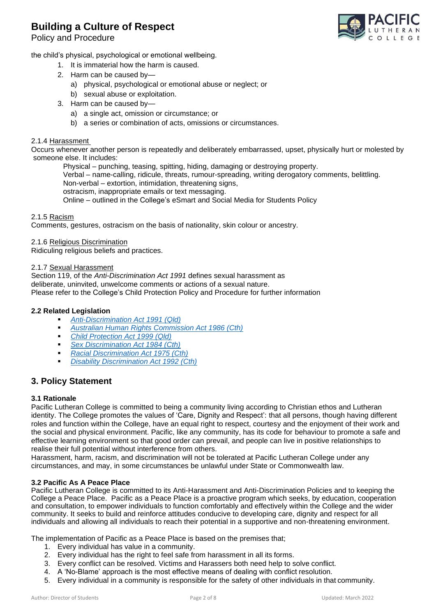Policy and Procedure



the child's physical, psychological or emotional wellbeing.

- 1. It is immaterial how the harm is caused.
- 2. Harm can be caused by
	- a) physical, psychological or emotional abuse or neglect; or
	- b) sexual abuse or exploitation.
- 3. Harm can be caused by
	- a) a single act, omission or circumstance; or
	- b) a series or combination of acts, omissions or circumstances.

#### 2.1.4 Harassment

Occurs whenever another person is repeatedly and deliberately embarrassed, upset, physically hurt or molested by someone else. It includes:

Physical – punching, teasing, spitting, hiding, damaging or destroying property.

Verbal – name-calling, ridicule, threats, rumour-spreading, writing derogatory comments, belittling.

Non-verbal – extortion, intimidation, threatening signs,

ostracism, inappropriate emails or text messaging.

Online – outlined in the College's eSmart and Social Media for Students Policy

#### 2.1.5 Racism

Comments, gestures, ostracism on the basis of nationality, skin colour or ancestry.

2.1.6 Religious Discrimination

Ridiculing religious beliefs and practices.

#### 2.1.7 Sexual Harassment

Section 119, of the *Anti-Discrimination Act 1991* defines sexual harassment as deliberate, uninvited, unwelcome comments or actions of a sexual nature. Please refer to the College's Child Protection Policy and Procedure for further information

#### **2.2 Related Legislation**

- *[Anti-Discrimination Act 1991 \(Qld\)](https://www.legislation.qld.gov.au/view/html/inforce/current/act-1991-085)*
- *[Australian Human Rights Commission Act 1986 \(Cth\)](https://www.legislation.gov.au/Details/C2017C00143)*
- *[Child Protection Act 1999 \(Qld\)](https://www.legislation.qld.gov.au/view/html/inforce/current/act-1999-010)*
- **Example 25** *[Sex Discrimination Act 1984 \(Cth\)](https://www.legislation.gov.au/Details/C2014C00002)*
- *[Racial Discrimination Act 1975 \(Cth\)](https://www.legislation.gov.au/Details/C2016C00089)*
- **[Disability Discrimination Act 1992 \(Cth\)](https://www.legislation.gov.au/Details/C2016C00763)**

## **3. Policy Statement**

#### **3.1 Rationale**

Pacific Lutheran College is committed to being a community living according to Christian ethos and Lutheran identity. The College promotes the values of 'Care, Dignity and Respect': that all persons, though having different roles and function within the College, have an equal right to respect, courtesy and the enjoyment of their work and the social and physical environment. Pacific, like any community, has its code for behaviour to promote a safe and effective learning environment so that good order can prevail, and people can live in positive relationships to realise their full potential without interference from others.

Harassment, harm, racism, and discrimination will not be tolerated at Pacific Lutheran College under any circumstances, and may, in some circumstances be unlawful under State or Commonwealth law.

#### **3.2 Pacific As A Peace Place**

Pacific Lutheran College is committed to its Anti-Harassment and Anti-Discrimination Policies and to keeping the College a Peace Place. Pacific as a Peace Place is a proactive program which seeks, by education, cooperation and consultation, to empower individuals to function comfortably and effectively within the College and the wider community. It seeks to build and reinforce attitudes conducive to developing care, dignity and respect for all individuals and allowing all individuals to reach their potential in a supportive and non-threatening environment.

The implementation of Pacific as a Peace Place is based on the premises that;

- 1. Every individual has value in a community.
- 2. Every individual has the right to feel safe from harassment in all its forms.
- 3. Every conflict can be resolved. Victims and Harassers both need help to solve conflict.
- 4. A 'No-Blame' approach is the most effective means of dealing with conflict resolution.
- 5. Every individual in a community is responsible for the safety of other individuals in that community.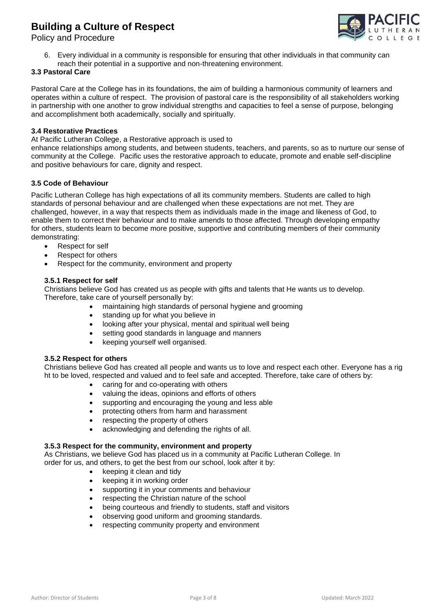

Policy and Procedure

6. Every individual in a community is responsible for ensuring that other individuals in that community can reach their potential in a supportive and non-threatening environment.

### **3.3 Pastoral Care**

Pastoral Care at the College has in its foundations, the aim of building a harmonious community of learners and operates within a culture of respect. The provision of pastoral care is the responsibility of all stakeholders working in partnership with one another to grow individual strengths and capacities to feel a sense of purpose, belonging and accomplishment both academically, socially and spiritually.

#### **3.4 Restorative Practices**

At Pacific Lutheran College, a Restorative approach is used to

enhance relationships among students, and between students, teachers, and parents, so as to nurture our sense of community at the College. Pacific uses the restorative approach to educate, promote and enable self-discipline and positive behaviours for care, dignity and respect.

#### **3.5 Code of Behaviour**

Pacific Lutheran College has high expectations of all its community members. Students are called to high standards of personal behaviour and are challenged when these expectations are not met. They are challenged, however, in a way that respects them as individuals made in the image and likeness of God, to enable them to correct their behaviour and to make amends to those affected. Through developing empathy for others, students learn to become more positive, supportive and contributing members of their community demonstrating:

- Respect for self
- Respect for others
- Respect for the community, environment and property

#### **3.5.1 Respect for self**

Christians believe God has created us as people with gifts and talents that He wants us to develop. Therefore, take care of yourself personally by:

- maintaining high standards of personal hygiene and grooming
- standing up for what you believe in
- looking after your physical, mental and spiritual well being
- setting good standards in language and manners
- keeping yourself well organised.

#### **3.5.2 Respect for others**

Christians believe God has created all people and wants us to love and respect each other. Everyone has a rig ht to be loved, respected and valued and to feel safe and accepted. Therefore, take care of others by:

- caring for and co-operating with others
- valuing the ideas, opinions and efforts of others
- supporting and encouraging the young and less able
- protecting others from harm and harassment
- respecting the property of others
- acknowledging and defending the rights of all.

### **3.5.3 Respect for the community, environment and property**

As Christians, we believe God has placed us in a community at Pacific Lutheran College. In order for us, and others, to get the best from our school, look after it by:

- keeping it clean and tidy
- keeping it in working order
- supporting it in your comments and behaviour
- respecting the Christian nature of the school
- being courteous and friendly to students, staff and visitors
- observing good uniform and grooming standards.
- respecting community property and environment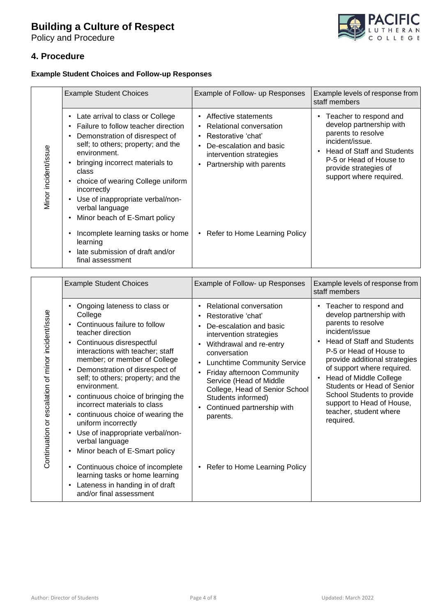Policy and Procedure



## **4. Procedure**

## **Example Student Choices and Follow-up Responses**

|                      | <b>Example Student Choices</b>                                                                                                                                                                                                                                                                                                                                                                                   | Example of Follow- up Responses                                                                                                                                                   | Example levels of response from<br>staff members                                                                                                                                                         |
|----------------------|------------------------------------------------------------------------------------------------------------------------------------------------------------------------------------------------------------------------------------------------------------------------------------------------------------------------------------------------------------------------------------------------------------------|-----------------------------------------------------------------------------------------------------------------------------------------------------------------------------------|----------------------------------------------------------------------------------------------------------------------------------------------------------------------------------------------------------|
| Minor incident/issue | Late arrival to class or College<br>$\bullet$<br>Failure to follow teacher direction<br>$\bullet$<br>Demonstration of disrespect of<br>٠<br>self; to others; property; and the<br>environment.<br>bringing incorrect materials to<br>class<br>choice of wearing College uniform<br>$\bullet$<br>incorrectly<br>Use of inappropriate verbal/non-<br>$\bullet$<br>verbal language<br>Minor beach of E-Smart policy | Affective statements<br>$\bullet$<br>Relational conversation<br>Restorative 'chat'<br>$\bullet$<br>De-escalation and basic<br>intervention strategies<br>Partnership with parents | Teacher to respond and<br>develop partnership with<br>parents to resolve<br>incident/issue.<br>Head of Staff and Students<br>P-5 or Head of House to<br>provide strategies of<br>support where required. |
|                      | Incomplete learning tasks or home<br>learning<br>late submission of draft and/or<br>final assessment                                                                                                                                                                                                                                                                                                             | • Refer to Home Learning Policy                                                                                                                                                   |                                                                                                                                                                                                          |

|                                                    | <b>Example Student Choices</b>                                                                                                                                                                                                                                                                                                                                                                                                                                                                                                                                                                                                                                                                                                                                             | Example of Follow- up Responses                                                                                                                                                                                                                                                                                                                                                                                                        | Example levels of response from<br>staff members                                                                                                                                                                                                                                                                                                                                           |
|----------------------------------------------------|----------------------------------------------------------------------------------------------------------------------------------------------------------------------------------------------------------------------------------------------------------------------------------------------------------------------------------------------------------------------------------------------------------------------------------------------------------------------------------------------------------------------------------------------------------------------------------------------------------------------------------------------------------------------------------------------------------------------------------------------------------------------------|----------------------------------------------------------------------------------------------------------------------------------------------------------------------------------------------------------------------------------------------------------------------------------------------------------------------------------------------------------------------------------------------------------------------------------------|--------------------------------------------------------------------------------------------------------------------------------------------------------------------------------------------------------------------------------------------------------------------------------------------------------------------------------------------------------------------------------------------|
| Continuation or escalation of minor incident/issue | Ongoing lateness to class or<br>٠<br>College<br>Continuous failure to follow<br>$\bullet$<br>teacher direction<br>Continuous disrespectful<br>$\bullet$<br>interactions with teacher; staff<br>member; or member of College<br>Demonstration of disrespect of<br>$\bullet$<br>self; to others; property; and the<br>environment.<br>continuous choice of bringing the<br>$\bullet$<br>incorrect materials to class<br>continuous choice of wearing the<br>$\bullet$<br>uniform incorrectly<br>Use of inappropriate verbal/non-<br>$\bullet$<br>verbal language<br>Minor beach of E-Smart policy<br>$\bullet$<br>Continuous choice of incomplete<br>$\bullet$<br>learning tasks or home learning<br>Lateness in handing in of draft<br>$\bullet$<br>and/or final assessment | Relational conversation<br>$\bullet$<br>Restorative 'chat'<br>$\bullet$<br>De-escalation and basic<br>intervention strategies<br>Withdrawal and re-entry<br>conversation<br><b>Lunchtime Community Service</b><br>$\bullet$<br>Friday afternoon Community<br>$\bullet$<br>Service (Head of Middle<br>College, Head of Senior School<br>Students informed)<br>Continued partnership with<br>parents.<br>• Refer to Home Learning Policy | Teacher to respond and<br>develop partnership with<br>parents to resolve<br>incident/issue<br><b>Head of Staff and Students</b><br>P-5 or Head of House to<br>provide additional strategies<br>of support where required.<br><b>Head of Middle College</b><br>Students or Head of Senior<br>School Students to provide<br>support to Head of House,<br>teacher, student where<br>required. |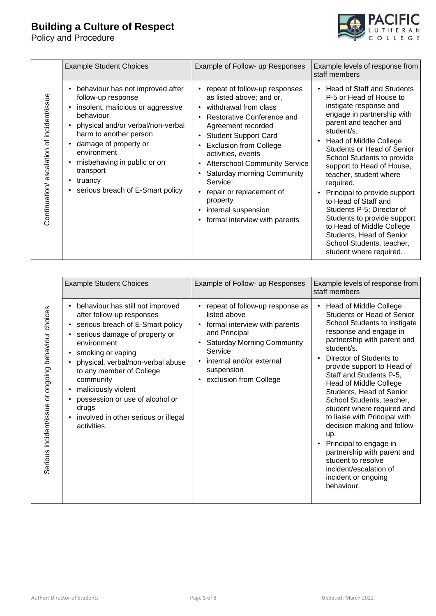Policy and Procedure



|                                           | <b>Example Student Choices</b>                                                                                                                                                                                                                                                                                                                                                                        | Example of Follow- up Responses                                                                                                                                                                                                                                                                                                                                                                                                                                                                                                    | Example levels of response from<br>staff members                                                                                                                                                                                                                                                                                                                                                                                                                                                                                                                                             |
|-------------------------------------------|-------------------------------------------------------------------------------------------------------------------------------------------------------------------------------------------------------------------------------------------------------------------------------------------------------------------------------------------------------------------------------------------------------|------------------------------------------------------------------------------------------------------------------------------------------------------------------------------------------------------------------------------------------------------------------------------------------------------------------------------------------------------------------------------------------------------------------------------------------------------------------------------------------------------------------------------------|----------------------------------------------------------------------------------------------------------------------------------------------------------------------------------------------------------------------------------------------------------------------------------------------------------------------------------------------------------------------------------------------------------------------------------------------------------------------------------------------------------------------------------------------------------------------------------------------|
| Continuation/escalation of incident/issue | behaviour has not improved after<br>$\bullet$<br>follow-up response<br>insolent, malicious or aggressive<br>$\bullet$<br>behaviour<br>physical and/or verbal/non-verbal<br>$\bullet$<br>harm to another person<br>damage of property or<br>$\bullet$<br>environment<br>misbehaving in public or on<br>$\bullet$<br>transport<br>truancy<br>$\bullet$<br>serious breach of E-Smart policy<br>$\bullet$ | repeat of follow-up responses<br>as listed above; and or,<br>withdrawal from class<br>$\bullet$<br>Restorative Conference and<br>$\bullet$<br>Agreement recorded<br><b>Student Support Card</b><br>$\bullet$<br><b>Exclusion from College</b><br>$\bullet$<br>activities, events<br><b>Afterschool Community Service</b><br>$\bullet$<br>Saturday morning Community<br>$\bullet$<br>Service<br>repair or replacement of<br>$\bullet$<br>property<br>internal suspension<br>$\bullet$<br>formal interview with parents<br>$\bullet$ | <b>Head of Staff and Students</b><br>P-5 or Head of House to<br>instigate response and<br>engage in partnership with<br>parent and teacher and<br>student/s.<br>Head of Middle College<br>$\bullet$<br><b>Students or Head of Senior</b><br>School Students to provide<br>support to Head of House,<br>teacher, student where<br>required.<br>Principal to provide support<br>$\bullet$<br>to Head of Staff and<br>Students P-5; Director of<br>Students to provide support<br>to Head of Middle College<br>Students, Head of Senior<br>School Students, teacher,<br>student where required. |

| Example of Follow- up Responses<br><b>Example Student Choices</b><br>staff members<br>behaviour has still not improved<br><b>Head of Middle College</b><br>repeat of follow-up response as<br>$\bullet$<br>$\bullet$<br>Serious incident/issue or ongoing behaviour choices<br>listed above<br>after follow-up responses<br>serious breach of E-Smart policy<br>• formal interview with parents<br>$\bullet$<br>response and engage in<br>and Principal<br>serious damage of property or<br>$\bullet$<br>environment<br><b>Saturday Morning Community</b><br>$\bullet$<br>student/s.<br>Service<br>smoking or vaping<br>٠<br>Director of Students to<br>internal and/or external<br>$\bullet$<br>physical, verbal/non-verbal abuse<br>suspension<br>to any member of College<br>Staff and Students P-5,<br>exclusion from College<br>community<br><b>Head of Middle College</b><br>maliciously violent<br>$\bullet$<br>Students, Head of Senior<br>possession or use of alcohol or<br>School Students, teacher,<br>$\bullet$<br>drugs<br>involved in other serious or illegal<br>$\bullet$<br>activities<br>up.<br>Principal to engage in<br>$\bullet$<br>student to resolve<br>incident/escalation of<br>incident or ongoing<br>behaviour. | Continuation/escalation of incident/issue | follow-up response<br>insolent, malicious or aggressive<br>$\bullet$<br>behaviour<br>physical and/or verbal/non-verbal<br>$\bullet$<br>harm to another person<br>damage of property or<br>$\bullet$<br>environment<br>misbehaving in public or on<br>$\bullet$<br>transport<br>truancy<br>$\bullet$<br>serious breach of E-Smart policy<br>$\bullet$ | as listed above; and or,<br>withdrawal from class<br>$\bullet$<br>Restorative Conference and<br>Agreement recorded<br><b>Student Support Card</b><br>$\bullet$<br><b>Exclusion from College</b><br>$\bullet$<br>activities, events<br><b>Afterschool Community Service</b><br>$\bullet$<br>Saturday morning Community<br>Service<br>repair or replacement of<br>property<br>internal suspension<br>$\bullet$<br>formal interview with parents | P-5 or Head of House to<br>instigate response and<br>engage in partnership with<br>parent and teacher and<br>student/s.<br><b>Head of Middle College</b><br>$\bullet$<br>Students or Head of Senior<br>School Students to provide<br>support to Head of House,<br>teacher, student where<br>required.<br>Principal to provide support<br>to Head of Staff and<br>Students P-5; Director of<br>Students to provide support<br>to Head of Middle College<br>Students, Head of Senior<br>School Students, teacher,<br>student where required. |
|---------------------------------------------------------------------------------------------------------------------------------------------------------------------------------------------------------------------------------------------------------------------------------------------------------------------------------------------------------------------------------------------------------------------------------------------------------------------------------------------------------------------------------------------------------------------------------------------------------------------------------------------------------------------------------------------------------------------------------------------------------------------------------------------------------------------------------------------------------------------------------------------------------------------------------------------------------------------------------------------------------------------------------------------------------------------------------------------------------------------------------------------------------------------------------------------------------------------------------------------|-------------------------------------------|------------------------------------------------------------------------------------------------------------------------------------------------------------------------------------------------------------------------------------------------------------------------------------------------------------------------------------------------------|-----------------------------------------------------------------------------------------------------------------------------------------------------------------------------------------------------------------------------------------------------------------------------------------------------------------------------------------------------------------------------------------------------------------------------------------------|--------------------------------------------------------------------------------------------------------------------------------------------------------------------------------------------------------------------------------------------------------------------------------------------------------------------------------------------------------------------------------------------------------------------------------------------------------------------------------------------------------------------------------------------|
|                                                                                                                                                                                                                                                                                                                                                                                                                                                                                                                                                                                                                                                                                                                                                                                                                                                                                                                                                                                                                                                                                                                                                                                                                                             |                                           |                                                                                                                                                                                                                                                                                                                                                      |                                                                                                                                                                                                                                                                                                                                                                                                                                               | Example levels of response from<br>Students or Head of Senior<br>School Students to instigate<br>partnership with parent and<br>provide support to Head of<br>student where required and<br>to liaise with Principal with<br>decision making and follow-<br>partnership with parent and                                                                                                                                                                                                                                                    |
| Author: Director of Students<br>Page 5 of 8<br>Updated: March 2022                                                                                                                                                                                                                                                                                                                                                                                                                                                                                                                                                                                                                                                                                                                                                                                                                                                                                                                                                                                                                                                                                                                                                                          |                                           |                                                                                                                                                                                                                                                                                                                                                      |                                                                                                                                                                                                                                                                                                                                                                                                                                               |                                                                                                                                                                                                                                                                                                                                                                                                                                                                                                                                            |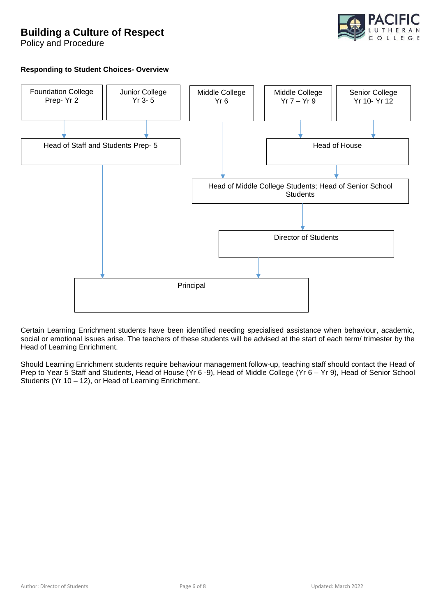

Policy and Procedure

## **Responding to Student Choices- Overview**



Certain Learning Enrichment students have been identified needing specialised assistance when behaviour, academic, social or emotional issues arise. The teachers of these students will be advised at the start of each term/ trimester by the Head of Learning Enrichment.

Should Learning Enrichment students require behaviour management follow-up, teaching staff should contact the Head of Prep to Year 5 Staff and Students, Head of House (Yr 6 -9), Head of Middle College (Yr 6 – Yr 9), Head of Senior School Students (Yr 10 – 12), or Head of Learning Enrichment.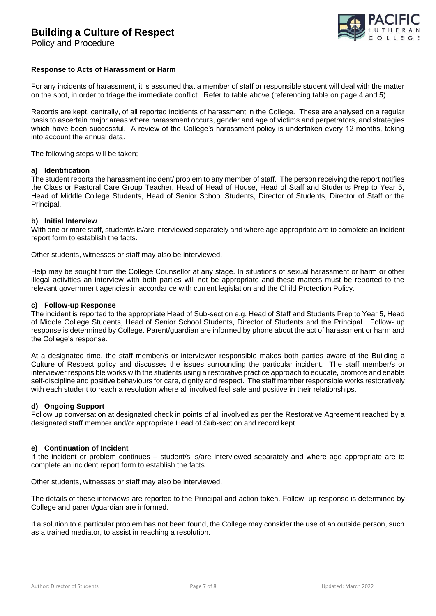

Policy and Procedure

#### **Response to Acts of Harassment or Harm**

For any incidents of harassment, it is assumed that a member of staff or responsible student will deal with the matter on the spot, in order to triage the immediate conflict. Refer to table above (referencing table on page 4 and 5)

Records are kept, centrally, of all reported incidents of harassment in the College. These are analysed on a regular basis to ascertain major areas where harassment occurs, gender and age of victims and perpetrators, and strategies which have been successful. A review of the College's harassment policy is undertaken every 12 months, taking into account the annual data.

The following steps will be taken;

#### **a) Identification**

The student reports the harassment incident/ problem to any member of staff. The person receiving the report notifies the Class or Pastoral Care Group Teacher, Head of Head of House, Head of Staff and Students Prep to Year 5, Head of Middle College Students, Head of Senior School Students, Director of Students, Director of Staff or the Principal.

#### **b) Initial Interview**

With one or more staff, student/s is/are interviewed separately and where age appropriate are to complete an incident report form to establish the facts.

Other students, witnesses or staff may also be interviewed.

Help may be sought from the College Counsellor at any stage. In situations of sexual harassment or harm or other illegal activities an interview with both parties will not be appropriate and these matters must be reported to the relevant government agencies in accordance with current legislation and the Child Protection Policy.

#### **c) Follow-up Response**

The incident is reported to the appropriate Head of Sub-section e.g. Head of Staff and Students Prep to Year 5, Head of Middle College Students, Head of Senior School Students, Director of Students and the Principal. Follow- up response is determined by College. Parent/guardian are informed by phone about the act of harassment or harm and the College's response.

At a designated time, the staff member/s or interviewer responsible makes both parties aware of the Building a Culture of Respect policy and discusses the issues surrounding the particular incident. The staff member/s or interviewer responsible works with the students using a restorative practice approach to educate, promote and enable self-discipline and positive behaviours for care, dignity and respect. The staff member responsible works restoratively with each student to reach a resolution where all involved feel safe and positive in their relationships.

#### **d) Ongoing Support**

Follow up conversation at designated check in points of all involved as per the Restorative Agreement reached by a designated staff member and/or appropriate Head of Sub-section and record kept.

#### **e) Continuation of Incident**

If the incident or problem continues – student/s is/are interviewed separately and where age appropriate are to complete an incident report form to establish the facts.

Other students, witnesses or staff may also be interviewed.

The details of these interviews are reported to the Principal and action taken. Follow- up response is determined by College and parent/guardian are informed.

If a solution to a particular problem has not been found, the College may consider the use of an outside person, such as a trained mediator, to assist in reaching a resolution.